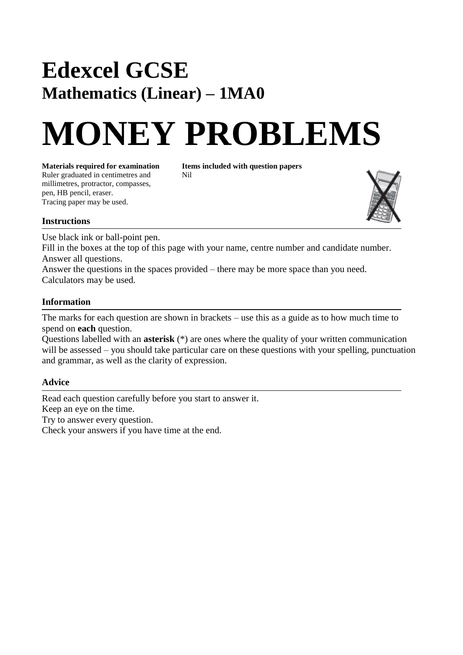## **Edexcel GCSE Mathematics (Linear) – 1MA0**

# **MONEY PROBLEMS**

**Materials required for examination** Items included with question papers<br>Ruler graduated in centimetres and Nil Ruler graduated in centimetres and millimetres, protractor, compasses, pen, HB pencil, eraser. Tracing paper may be used.



### **Instructions**

Use black ink or ball-point pen.

Fill in the boxes at the top of this page with your name, centre number and candidate number. Answer all questions.

Answer the questions in the spaces provided – there may be more space than you need. Calculators may be used.

### **Information**

The marks for each question are shown in brackets – use this as a guide as to how much time to spend on **each** question.

Questions labelled with an **asterisk** (\*) are ones where the quality of your written communication will be assessed – you should take particular care on these questions with your spelling, punctuation and grammar, as well as the clarity of expression.

### **Advice**

Read each question carefully before you start to answer it. Keep an eye on the time. Try to answer every question. Check your answers if you have time at the end.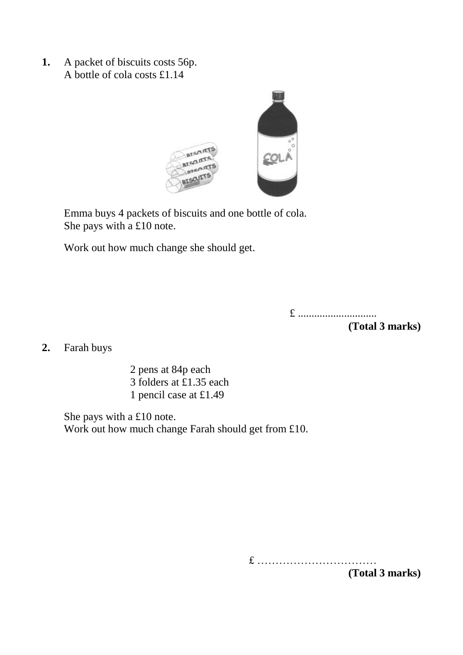**1.** A packet of biscuits costs 56p. A bottle of cola costs £1.14



Emma buys 4 packets of biscuits and one bottle of cola. She pays with a £10 note.

Work out how much change she should get.

£ .............................

**(Total 3 marks)**

**2.** Farah buys

2 pens at 84p each 3 folders at £1.35 each 1 pencil case at £1.49

She pays with a £10 note. Work out how much change Farah should get from £10.

£ ……………………………

**(Total 3 marks)**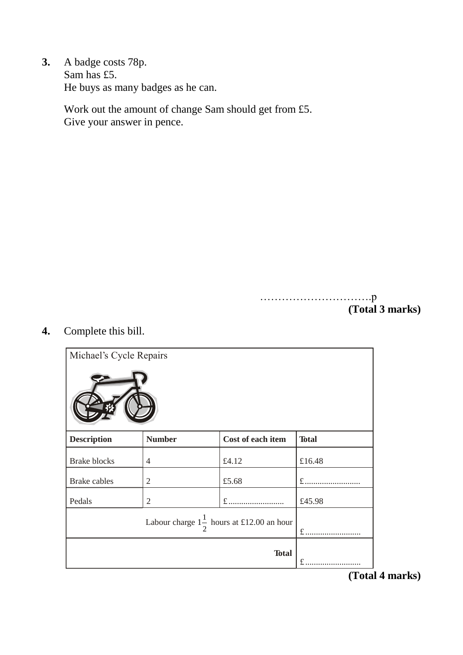**3.** A badge costs 78p. Sam has £5. He buys as many badges as he can.

> Work out the amount of change Sam should get from £5. Give your answer in pence.

> > ………………………….p **(Total 3 marks)**

**4.** Complete this bill.

| Michael's Cycle Repairs                              |                |                   |              |  |
|------------------------------------------------------|----------------|-------------------|--------------|--|
|                                                      |                |                   |              |  |
| <b>Description</b>                                   | <b>Number</b>  | Cost of each item | <b>Total</b> |  |
| <b>Brake blocks</b>                                  | $\overline{4}$ | £4.12             | £16.48       |  |
| <b>Brake</b> cables                                  | $\overline{2}$ | £5.68             | $f$          |  |
| Pedals                                               | $\overline{2}$ | £.                | £45.98       |  |
| Labour charge $1\frac{1}{x}$ hours at £12.00 an hour |                |                   | $f$          |  |
|                                                      |                | <b>Total</b>      | £<br>.       |  |

**(Total 4 marks)**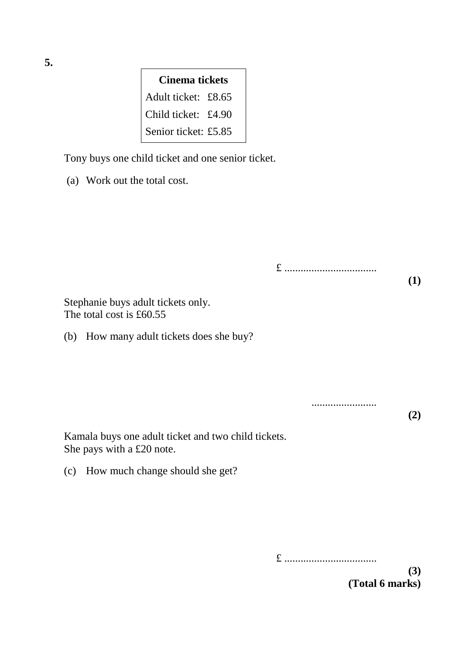**Cinema tickets** Adult ticket: £8.65 Child ticket: £4.90 Senior ticket: £5.85

Tony buys one child ticket and one senior ticket.

|  |  | (a) Work out the total cost. |  |  |  |  |
|--|--|------------------------------|--|--|--|--|
|--|--|------------------------------|--|--|--|--|

|                                                                                  | £   |  |
|----------------------------------------------------------------------------------|-----|--|
| Stephanie buys adult tickets only.<br>The total cost is £60.55                   |     |  |
| How many adult tickets does she buy?<br>(b)                                      |     |  |
|                                                                                  |     |  |
|                                                                                  |     |  |
|                                                                                  | (2) |  |
| Kamala buys one adult ticket and two child tickets.<br>She pays with a £20 note. |     |  |
| How much change should she get?<br>(c)                                           |     |  |
|                                                                                  |     |  |

£ ..................................

**(3) (Total 6 marks)**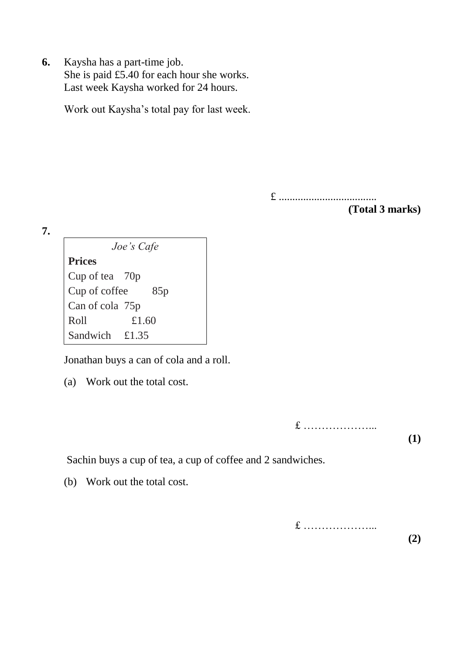**6.** Kaysha has a part-time job. She is paid £5.40 for each hour she works. Last week Kaysha worked for 24 hours.

Work out Kaysha's total pay for last week.

£ ....................................

**(Total 3 marks)**

**7.**

*Joe's Cafe* **Prices**  Cup of tea 70p Cup of coffee 85p Can of cola 75p Roll £1.60 Sandwich £1.35

Jonathan buys a can of cola and a roll.

(a) Work out the total cost.

£ ………………... **(1)**

Sachin buys a cup of tea, a cup of coffee and 2 sandwiches.

(b) Work out the total cost.

£ ………………... **(2)**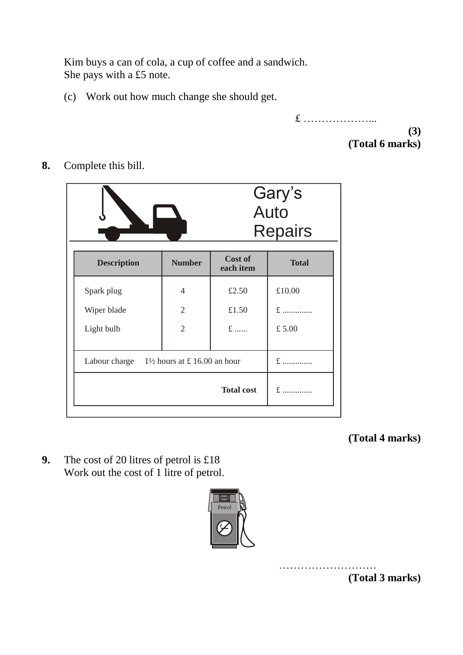Kim buys a can of cola, a cup of coffee and a sandwich. She pays with a £5 note.

(c) Work out how much change she should get.

£ ………………... **(3)**

**(Total 6 marks)**

**8.** Complete this bill.

|                                                       |                | Gary's<br>Auto<br><b>Repairs</b> |              |
|-------------------------------------------------------|----------------|----------------------------------|--------------|
| <b>Description</b>                                    | <b>Number</b>  | Cost of<br>each item             | <b>Total</b> |
| Spark plug                                            | 4              | £2.50                            | £10.00       |
| Wiper blade                                           | $\overline{2}$ | £1.50                            | $f$          |
| Light bulb                                            | $\overline{2}$ | $f$                              | £5.00        |
| Labour charge $1\frac{1}{2}$ hours at £ 16.00 an hour |                |                                  | $f$          |
|                                                       |                | <b>Total cost</b>                | $f$          |

**(Total 4 marks)**

**9.** The cost of 20 litres of petrol is £18 Work out the cost of 1 litre of petrol.



**(Total 3 marks)**

………………………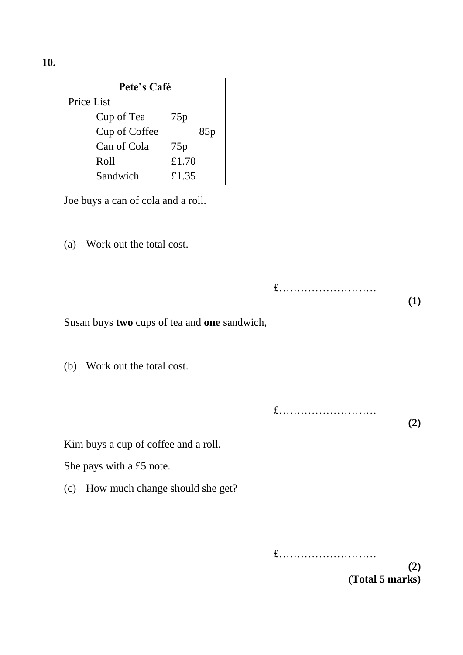**10.**

| Pete's Café   |       |  |  |
|---------------|-------|--|--|
| Price List    |       |  |  |
| Cup of Tea    | 75p   |  |  |
| Cup of Coffee | 85p   |  |  |
| Can of Cola   | 75p   |  |  |
| Roll          | £1.70 |  |  |
| Sandwich      | £1.35 |  |  |

Joe buys a can of cola and a roll.

(a) Work out the total cost.

|                                              | $f$ | (1) |
|----------------------------------------------|-----|-----|
| Susan buys two cups of tea and one sandwich, |     |     |
| Work out the total cost.<br>(b)              |     |     |
|                                              | $f$ | (2) |
| Kim buys a cup of coffee and a roll.         |     |     |
| She pays with a £5 note.                     |     |     |
| How much change should she get?<br>(c)       |     |     |
|                                              |     |     |
|                                              | £   | (2) |

**(Total 5 marks)**